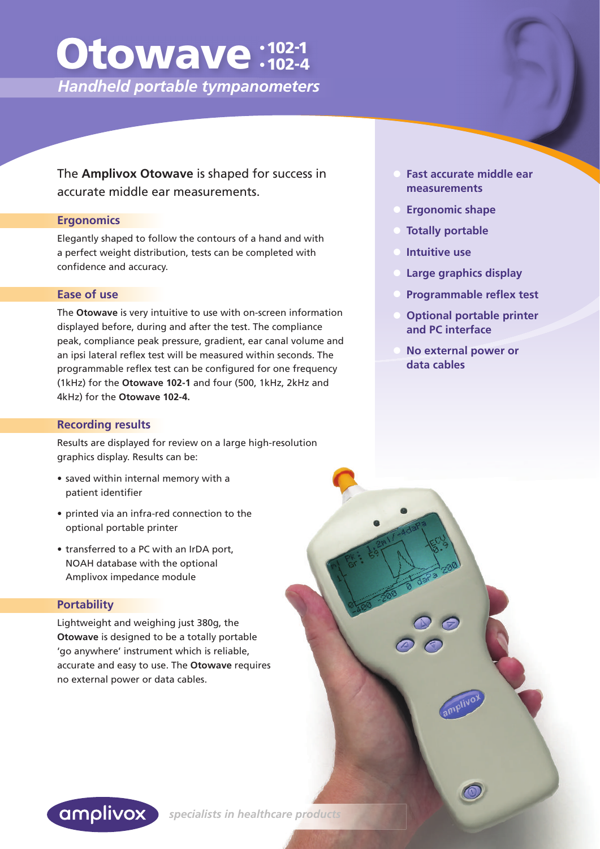# Otowave:102-1 • 102-4

 *Handheld portable tympanometers*

The **Amplivox Otowave** is shaped for success in accurate middle ear measurements.

#### **Ergonomics**

Elegantly shaped to follow the contours of a hand and with a perfect weight distribution, tests can be completed with confidence and accuracy.

#### **Ease of use**

The **Otowave** is very intuitive to use with on-screen information displayed before, during and after the test. The compliance peak, compliance peak pressure, gradient, ear canal volume and an ipsi lateral reflex test will be measured within seconds. The programmable reflex test can be configured for one frequency (1kHz) for the **Otowave 102-1** and four (500, 1kHz, 2kHz and 4kHz) for the **Otowave 102-4.**

#### **Recording results**

Results are displayed for review on a large high-resolution graphics display. Results can be:

- saved within internal memory with a patient identifier
- printed via an infra-red connection to the optional portable printer
- transferred to a PC with an IrDA port, NOAH database with the optional Amplivox impedance module

#### **Portability**

Lightweight and weighing just 380g, the **Otowave** is designed to be a totally portable 'go anywhere' instrument which is reliable, accurate and easy to use. The **Otowave** requires no external power or data cables.

- **Fast accurate middle ear measurements**
- **Ergonomic shape**
- **Totally portable**
- **Intuitive use**
- **Large graphics display**
- **Programmable reflex test**
- **Optional portable printer and PC interface**
- **No external power or data cables**



 *specialists in healthcare products*